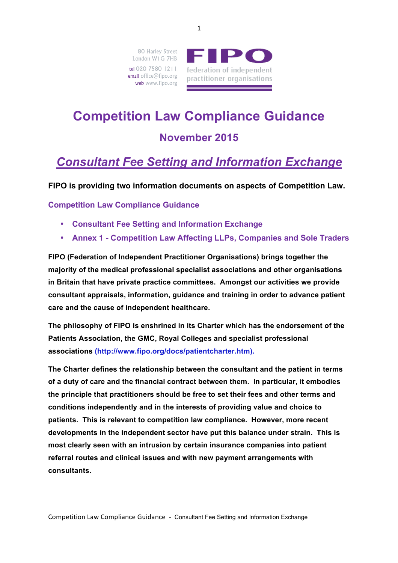80 Harley Street London W1G 7HB tel 020 7580 1211 email office@fipo.org web www.fipo.org



# **Competition Law Compliance Guidance**

### **November 2015**

# *Consultant Fee Setting and Information Exchange*

**FIPO is providing two information documents on aspects of Competition Law.** 

**Competition Law Compliance Guidance**

- **Consultant Fee Setting and Information Exchange**
- **Annex 1 - Competition Law Affecting LLPs, Companies and Sole Traders**

**FIPO (Federation of Independent Practitioner Organisations) brings together the majority of the medical professional specialist associations and other organisations in Britain that have private practice committees. Amongst our activities we provide consultant appraisals, information, guidance and training in order to advance patient care and the cause of independent healthcare.** 

**The philosophy of FIPO is enshrined in its Charter which has the endorsement of the Patients Association, the GMC, Royal Colleges and specialist professional associations (http://www.fipo.org/docs/patientcharter.htm).**

**The Charter defines the relationship between the consultant and the patient in terms of a duty of care and the financial contract between them. In particular, it embodies the principle that practitioners should be free to set their fees and other terms and conditions independently and in the interests of providing value and choice to patients. This is relevant to competition law compliance. However, more recent developments in the independent sector have put this balance under strain. This is most clearly seen with an intrusion by certain insurance companies into patient referral routes and clinical issues and with new payment arrangements with consultants.**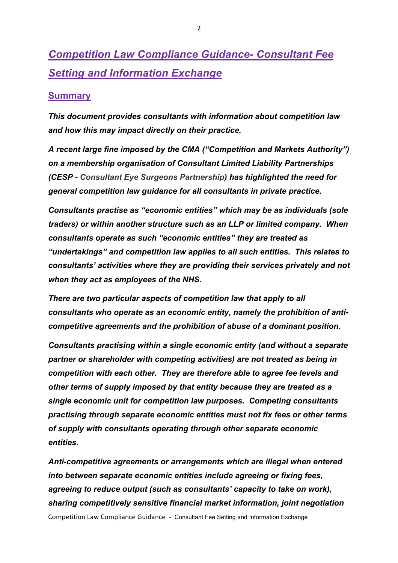# *Competition Law Compliance Guidance- Consultant Fee Setting and Information Exchange*

#### **Summary**

*This document provides consultants with information about competition law and how this may impact directly on their practice.* 

*A recent large fine imposed by the CMA ("Competition and Markets Authority") on a membership organisation of Consultant Limited Liability Partnerships (CESP - Consultant Eye Surgeons Partnership) has highlighted the need for general competition law guidance for all consultants in private practice.* 

*Consultants practise as "economic entities" which may be as individuals (sole traders) or within another structure such as an LLP or limited company. When consultants operate as such "economic entities" they are treated as "undertakings" and competition law applies to all such entities. This relates to consultants' activities where they are providing their services privately and not when they act as employees of the NHS.*

*There are two particular aspects of competition law that apply to all consultants who operate as an economic entity, namely the prohibition of anticompetitive agreements and the prohibition of abuse of a dominant position.*

*Consultants practising within a single economic entity (and without a separate partner or shareholder with competing activities) are not treated as being in competition with each other. They are therefore able to agree fee levels and other terms of supply imposed by that entity because they are treated as a single economic unit for competition law purposes. Competing consultants practising through separate economic entities must not fix fees or other terms of supply with consultants operating through other separate economic entities.*

Competition Law Compliance Guidance - Consultant Fee Setting and Information Exchange *Anti-competitive agreements or arrangements which are illegal when entered into between separate economic entities include agreeing or fixing fees, agreeing to reduce output (such as consultants' capacity to take on work), sharing competitively sensitive financial market information, joint negotiation*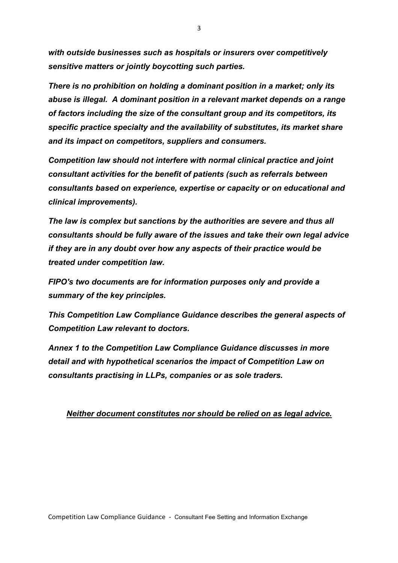*with outside businesses such as hospitals or insurers over competitively sensitive matters or jointly boycotting such parties.* 

*There is no prohibition on holding a dominant position in a market; only its abuse is illegal. A dominant position in a relevant market depends on a range of factors including the size of the consultant group and its competitors, its specific practice specialty and the availability of substitutes, its market share and its impact on competitors, suppliers and consumers.* 

*Competition law should not interfere with normal clinical practice and joint consultant activities for the benefit of patients (such as referrals between consultants based on experience, expertise or capacity or on educational and clinical improvements).*

*The law is complex but sanctions by the authorities are severe and thus all consultants should be fully aware of the issues and take their own legal advice if they are in any doubt over how any aspects of their practice would be treated under competition law.* 

*FIPO's two documents are for information purposes only and provide a summary of the key principles.* 

*This Competition Law Compliance Guidance describes the general aspects of Competition Law relevant to doctors.* 

*Annex 1 to the Competition Law Compliance Guidance discusses in more detail and with hypothetical scenarios the impact of Competition Law on consultants practising in LLPs, companies or as sole traders.* 

#### *Neither document constitutes nor should be relied on as legal advice.*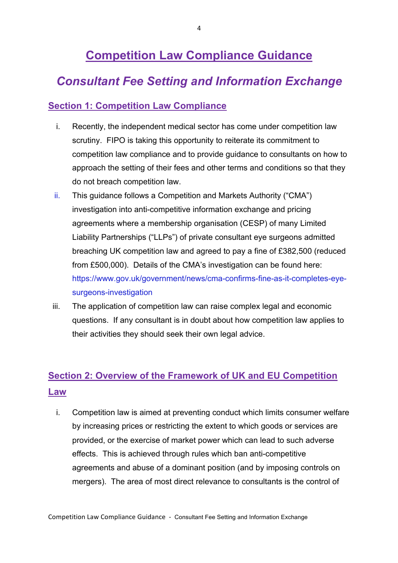# **Competition Law Compliance Guidance**

## *Consultant Fee Setting and Information Exchange*

#### **Section 1: Competition Law Compliance**

- i. Recently, the independent medical sector has come under competition law scrutiny. FIPO is taking this opportunity to reiterate its commitment to competition law compliance and to provide guidance to consultants on how to approach the setting of their fees and other terms and conditions so that they do not breach competition law.
- ii. This guidance follows a Competition and Markets Authority ("CMA") investigation into anti-competitive information exchange and pricing agreements where a membership organisation (CESP) of many Limited Liability Partnerships ("LLPs") of private consultant eye surgeons admitted breaching UK competition law and agreed to pay a fine of £382,500 (reduced from £500,000). Details of the CMA's investigation can be found here: https://www.gov.uk/government/news/cma-confirms-fine-as-it-completes-eyesurgeons-investigation
- iii. The application of competition law can raise complex legal and economic questions. If any consultant is in doubt about how competition law applies to their activities they should seek their own legal advice.

### **Section 2: Overview of the Framework of UK and EU Competition Law**

i. Competition law is aimed at preventing conduct which limits consumer welfare by increasing prices or restricting the extent to which goods or services are provided, or the exercise of market power which can lead to such adverse effects. This is achieved through rules which ban anti-competitive agreements and abuse of a dominant position (and by imposing controls on mergers). The area of most direct relevance to consultants is the control of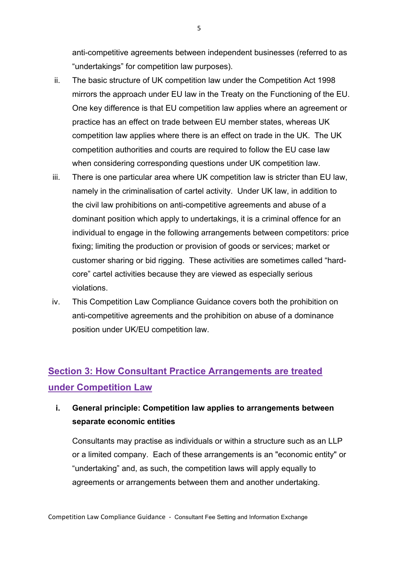anti-competitive agreements between independent businesses (referred to as "undertakings" for competition law purposes).

- ii. The basic structure of UK competition law under the Competition Act 1998 mirrors the approach under EU law in the Treaty on the Functioning of the EU. One key difference is that EU competition law applies where an agreement or practice has an effect on trade between EU member states, whereas UK competition law applies where there is an effect on trade in the UK. The UK competition authorities and courts are required to follow the EU case law when considering corresponding questions under UK competition law.
- iii. There is one particular area where UK competition law is stricter than EU law, namely in the criminalisation of cartel activity. Under UK law, in addition to the civil law prohibitions on anti-competitive agreements and abuse of a dominant position which apply to undertakings, it is a criminal offence for an individual to engage in the following arrangements between competitors: price fixing; limiting the production or provision of goods or services; market or customer sharing or bid rigging. These activities are sometimes called "hardcore" cartel activities because they are viewed as especially serious violations.
- iv. This Competition Law Compliance Guidance covers both the prohibition on anti-competitive agreements and the prohibition on abuse of a dominance position under UK/EU competition law.

### **Section 3: How Consultant Practice Arrangements are treated under Competition Law**

### **i. General principle: Competition law applies to arrangements between separate economic entities**

Consultants may practise as individuals or within a structure such as an LLP or a limited company. Each of these arrangements is an "economic entity" or "undertaking" and, as such, the competition laws will apply equally to agreements or arrangements between them and another undertaking.

5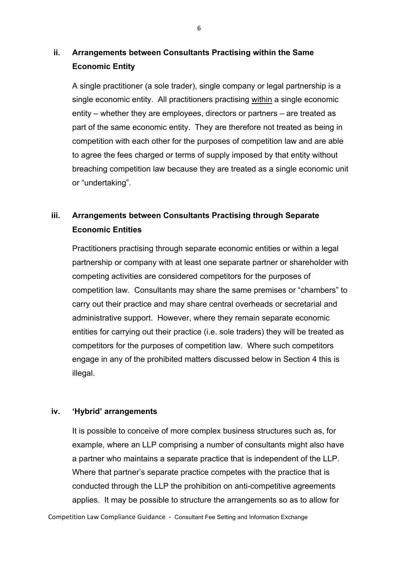#### **ii. Arrangements between Consultants Practising within the Same Economic Entity**

A single practitioner (a sole trader), single company or legal partnership is a single economic entity. All practitioners practising within a single economic entity – whether they are employees, directors or partners – are treated as part of the same economic entity. They are therefore not treated as being in competition with each other for the purposes of competition law and are able to agree the fees charged or terms of supply imposed by that entity without breaching competition law because they are treated as a single economic unit or "undertaking".

### **iii. Arrangements between Consultants Practising through Separate Economic Entities**

Practitioners practising through separate economic entities or within a legal partnership or company with at least one separate partner or shareholder with competing activities are considered competitors for the purposes of competition law. Consultants may share the same premises or "chambers" to carry out their practice and may share central overheads or secretarial and administrative support. However, where they remain separate economic entities for carrying out their practice (i.e. sole traders) they will be treated as competitors for the purposes of competition law. Where such competitors engage in any of the prohibited matters discussed below in Section 4 this is illegal.

#### **iv. 'Hybrid' arrangements**

It is possible to conceive of more complex business structures such as, for example, where an LLP comprising a number of consultants might also have a partner who maintains a separate practice that is independent of the LLP. Where that partner's separate practice competes with the practice that is conducted through the LLP the prohibition on anti-competitive agreements applies. It may be possible to structure the arrangements so as to allow for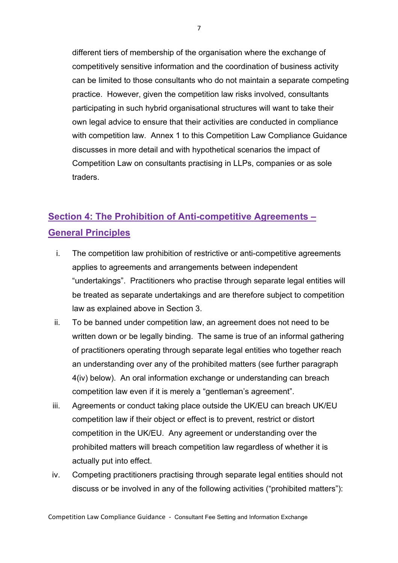different tiers of membership of the organisation where the exchange of competitively sensitive information and the coordination of business activity can be limited to those consultants who do not maintain a separate competing practice. However, given the competition law risks involved, consultants participating in such hybrid organisational structures will want to take their own legal advice to ensure that their activities are conducted in compliance with competition law. Annex 1 to this Competition Law Compliance Guidance discusses in more detail and with hypothetical scenarios the impact of Competition Law on consultants practising in LLPs, companies or as sole traders.

### **Section 4: The Prohibition of Anti-competitive Agreements – General Principles**

- i. The competition law prohibition of restrictive or anti-competitive agreements applies to agreements and arrangements between independent "undertakings". Practitioners who practise through separate legal entities will be treated as separate undertakings and are therefore subject to competition law as explained above in Section 3.
- ii. To be banned under competition law, an agreement does not need to be written down or be legally binding. The same is true of an informal gathering of practitioners operating through separate legal entities who together reach an understanding over any of the prohibited matters (see further paragraph 4(iv) below). An oral information exchange or understanding can breach competition law even if it is merely a "gentleman's agreement".
- iii. Agreements or conduct taking place outside the UK/EU can breach UK/EU competition law if their object or effect is to prevent, restrict or distort competition in the UK/EU. Any agreement or understanding over the prohibited matters will breach competition law regardless of whether it is actually put into effect.
- iv. Competing practitioners practising through separate legal entities should not discuss or be involved in any of the following activities ("prohibited matters"):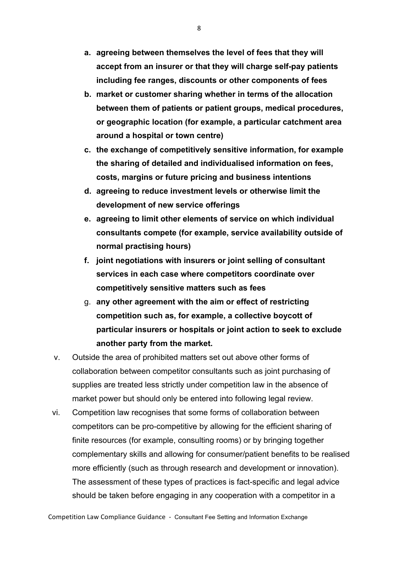- **a. agreeing between themselves the level of fees that they will accept from an insurer or that they will charge self-pay patients including fee ranges, discounts or other components of fees**
- **b. market or customer sharing whether in terms of the allocation between them of patients or patient groups, medical procedures, or geographic location (for example, a particular catchment area around a hospital or town centre)**
- **c. the exchange of competitively sensitive information, for example the sharing of detailed and individualised information on fees, costs, margins or future pricing and business intentions**
- **d. agreeing to reduce investment levels or otherwise limit the development of new service offerings**
- **e. agreeing to limit other elements of service on which individual consultants compete (for example, service availability outside of normal practising hours)**
- **f. joint negotiations with insurers or joint selling of consultant services in each case where competitors coordinate over competitively sensitive matters such as fees**
- g. **any other agreement with the aim or effect of restricting competition such as, for example, a collective boycott of particular insurers or hospitals or joint action to seek to exclude another party from the market.**
- v. Outside the area of prohibited matters set out above other forms of collaboration between competitor consultants such as joint purchasing of supplies are treated less strictly under competition law in the absence of market power but should only be entered into following legal review.
- vi. Competition law recognises that some forms of collaboration between competitors can be pro-competitive by allowing for the efficient sharing of finite resources (for example, consulting rooms) or by bringing together complementary skills and allowing for consumer/patient benefits to be realised more efficiently (such as through research and development or innovation). The assessment of these types of practices is fact-specific and legal advice should be taken before engaging in any cooperation with a competitor in a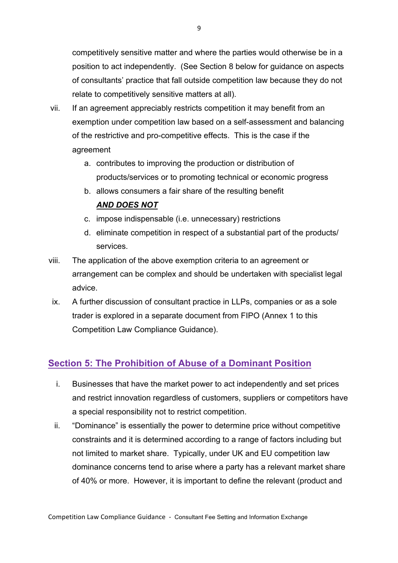competitively sensitive matter and where the parties would otherwise be in a position to act independently. (See Section 8 below for guidance on aspects of consultants' practice that fall outside competition law because they do not relate to competitively sensitive matters at all).

- vii. If an agreement appreciably restricts competition it may benefit from an exemption under competition law based on a self-assessment and balancing of the restrictive and pro-competitive effects. This is the case if the agreement
	- a. contributes to improving the production or distribution of products/services or to promoting technical or economic progress
	- b. allows consumers a fair share of the resulting benefit *AND DOES NOT*
	- c. impose indispensable (i.e. unnecessary) restrictions
	- d. eliminate competition in respect of a substantial part of the products/ services.
- viii. The application of the above exemption criteria to an agreement or arrangement can be complex and should be undertaken with specialist legal advice.
- ix. A further discussion of consultant practice in LLPs, companies or as a sole trader is explored in a separate document from FIPO (Annex 1 to this Competition Law Compliance Guidance).

### **Section 5: The Prohibition of Abuse of a Dominant Position**

- i. Businesses that have the market power to act independently and set prices and restrict innovation regardless of customers, suppliers or competitors have a special responsibility not to restrict competition.
- ii. "Dominance" is essentially the power to determine price without competitive constraints and it is determined according to a range of factors including but not limited to market share. Typically, under UK and EU competition law dominance concerns tend to arise where a party has a relevant market share of 40% or more. However, it is important to define the relevant (product and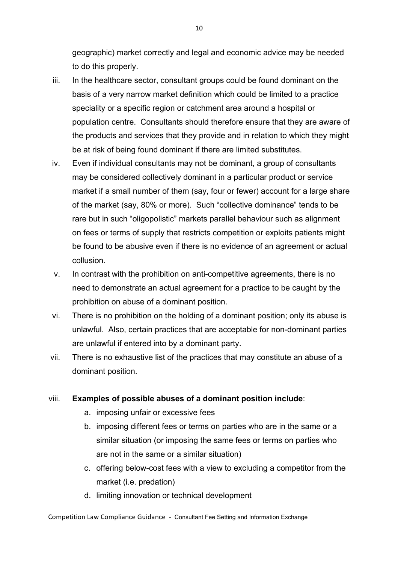geographic) market correctly and legal and economic advice may be needed to do this properly.

- iii. In the healthcare sector, consultant groups could be found dominant on the basis of a very narrow market definition which could be limited to a practice speciality or a specific region or catchment area around a hospital or population centre. Consultants should therefore ensure that they are aware of the products and services that they provide and in relation to which they might be at risk of being found dominant if there are limited substitutes.
- iv. Even if individual consultants may not be dominant, a group of consultants may be considered collectively dominant in a particular product or service market if a small number of them (say, four or fewer) account for a large share of the market (say, 80% or more). Such "collective dominance" tends to be rare but in such "oligopolistic" markets parallel behaviour such as alignment on fees or terms of supply that restricts competition or exploits patients might be found to be abusive even if there is no evidence of an agreement or actual collusion.
- v. In contrast with the prohibition on anti-competitive agreements, there is no need to demonstrate an actual agreement for a practice to be caught by the prohibition on abuse of a dominant position.
- vi. There is no prohibition on the holding of a dominant position; only its abuse is unlawful. Also, certain practices that are acceptable for non-dominant parties are unlawful if entered into by a dominant party.
- vii. There is no exhaustive list of the practices that may constitute an abuse of a dominant position.

#### viii. **Examples of possible abuses of a dominant position include**:

- a. imposing unfair or excessive fees
- b. imposing different fees or terms on parties who are in the same or a similar situation (or imposing the same fees or terms on parties who are not in the same or a similar situation)
- c. offering below-cost fees with a view to excluding a competitor from the market (i.e. predation)
- d. limiting innovation or technical development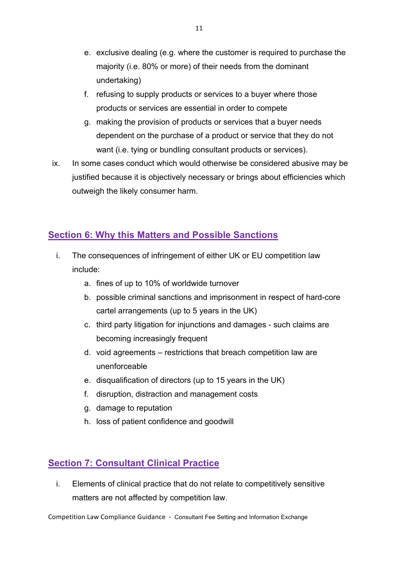- e. exclusive dealing (e.g. where the customer is required to purchase the majority (i.e. 80% or more) of their needs from the dominant undertaking)
- f. refusing to supply products or services to a buyer where those products or services are essential in order to compete
- g. making the provision of products or services that a buyer needs dependent on the purchase of a product or service that they do not want (i.e. tying or bundling consultant products or services).
- ix. In some cases conduct which would otherwise be considered abusive may be justified because it is objectively necessary or brings about efficiencies which outweigh the likely consumer harm.

### **Section 6: Why this Matters and Possible Sanctions**

- i. The consequences of infringement of either UK or EU competition law include:
	- a. fines of up to 10% of worldwide turnover
	- b. possible criminal sanctions and imprisonment in respect of hard-core cartel arrangements (up to 5 years in the UK)
	- c. third party litigation for injunctions and damages such claims are becoming increasingly frequent
	- d. void agreements restrictions that breach competition law are unenforceable
	- e. disqualification of directors (up to 15 years in the UK)
	- f. disruption, distraction and management costs
	- g. damage to reputation
	- h. loss of patient confidence and goodwill

#### **Section 7: Consultant Clinical Practice**

i. Elements of clinical practice that do not relate to competitively sensitive matters are not affected by competition law.

Competition Law Compliance Guidance - Consultant Fee Setting and Information Exchange